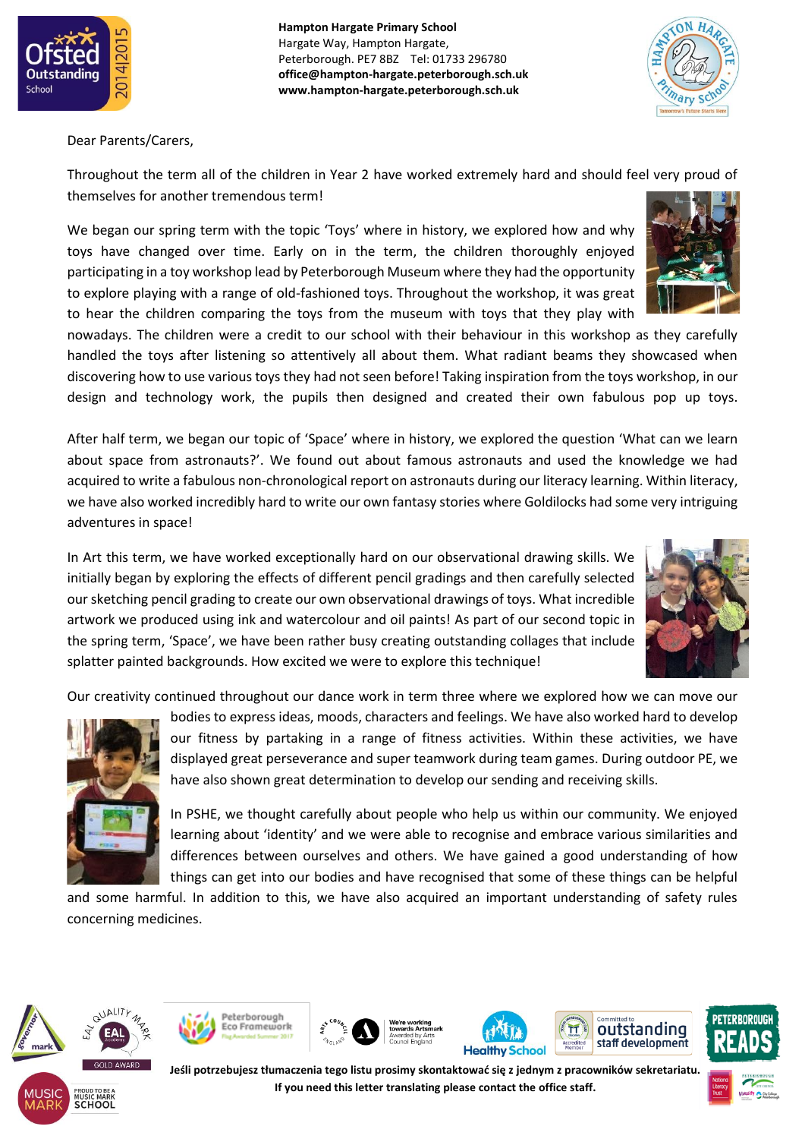

**Hampton Hargate Primary School** Hargate Way, Hampton Hargate, Peterborough. PE7 8BZ Tel: 01733 296780 **office@hampton-hargate.peterborough.sch.uk www.hampton-hargate.peterborough.sch.uk**



Dear Parents/Carers,

Throughout the term all of the children in Year 2 have worked extremely hard and should feel very proud of themselves for another tremendous term!

We began our spring term with the topic 'Toys' where in history, we explored how and why toys have changed over time. Early on in the term, the children thoroughly enjoyed participating in a toy workshop lead by Peterborough Museum where they had the opportunity to explore playing with a range of old-fashioned toys. Throughout the workshop, it was great to hear the children comparing the toys from the museum with toys that they play with

nowadays. The children were a credit to our school with their behaviour in this workshop as they carefully handled the toys after listening so attentively all about them. What radiant beams they showcased when discovering how to use various toys they had not seen before! Taking inspiration from the toys workshop, in our design and technology work, the pupils then designed and created their own fabulous pop up toys.

After half term, we began our topic of 'Space' where in history, we explored the question 'What can we learn about space from astronauts?'. We found out about famous astronauts and used the knowledge we had acquired to write a fabulous non-chronological report on astronauts during our literacy learning. Within literacy, we have also worked incredibly hard to write our own fantasy stories where Goldilocks had some very intriguing adventures in space!

In Art this term, we have worked exceptionally hard on our observational drawing skills. We initially began by exploring the effects of different pencil gradings and then carefully selected our sketching pencil grading to create our own observational drawings of toys. What incredible artwork we produced using ink and watercolour and oil paints! As part of our second topic in the spring term, 'Space', we have been rather busy creating outstanding collages that include splatter painted backgrounds. How excited we were to explore this technique!



Our creativity continued throughout our dance work in term three where we explored how we can move our



bodies to express ideas, moods, characters and feelings. We have also worked hard to develop our fitness by partaking in a range of fitness activities. Within these activities, we have displayed great perseverance and super teamwork during team games. During outdoor PE, we have also shown great determination to develop our sending and receiving skills.

In PSHE, we thought carefully about people who help us within our community. We enjoyed learning about 'identity' and we were able to recognise and embrace various similarities and differences between ourselves and others. We have gained a good understanding of how things can get into our bodies and have recognised that some of these things can be helpful

and some harmful. In addition to this, we have also acquired an important understanding of safety rules concerning medicines.













**Jeśli potrzebujesz tłumaczenia tego listu prosimy skontaktować się z jednym z pracowników sekretariatu. If you need this letter translating please contact the office staff.**